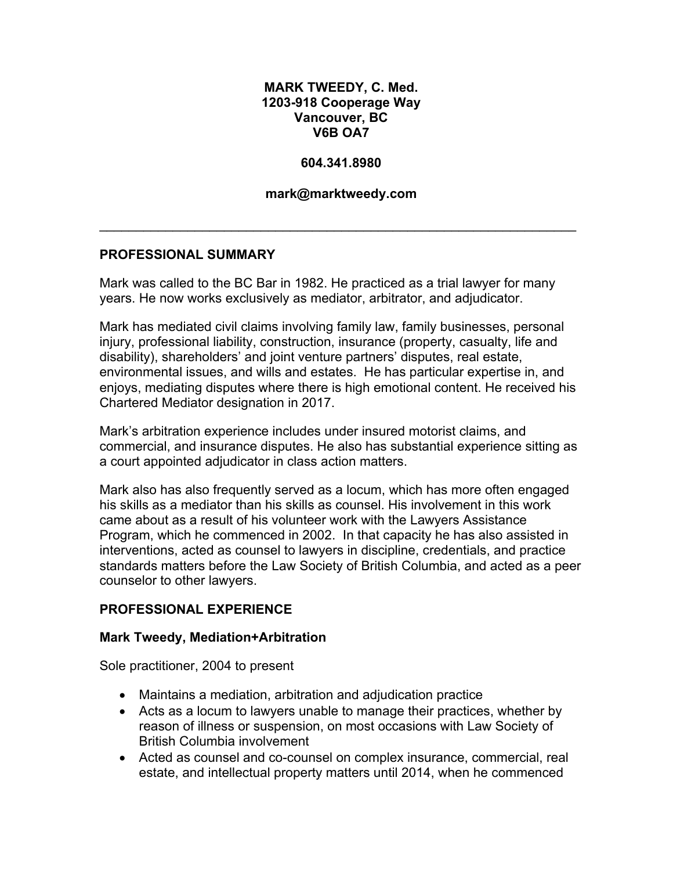## **MARK TWEEDY, C. Med. 1203-918 Cooperage Way Vancouver, BC V6B OA7**

### **604.341.8980**

### **mark@marktweedy.com**

\_\_\_\_\_\_\_\_\_\_\_\_\_\_\_\_\_\_\_\_\_\_\_\_\_\_\_\_\_\_\_\_\_\_\_\_\_\_\_\_\_\_\_\_\_\_\_\_\_\_\_\_\_\_\_\_\_\_\_\_\_\_\_\_\_

## **PROFESSIONAL SUMMARY**

Mark was called to the BC Bar in 1982. He practiced as a trial lawyer for many years. He now works exclusively as mediator, arbitrator, and adjudicator.

Mark has mediated civil claims involving family law, family businesses, personal injury, professional liability, construction, insurance (property, casualty, life and disability), shareholders' and joint venture partners' disputes, real estate, environmental issues, and wills and estates. He has particular expertise in, and enjoys, mediating disputes where there is high emotional content. He received his Chartered Mediator designation in 2017.

Mark's arbitration experience includes under insured motorist claims, and commercial, and insurance disputes. He also has substantial experience sitting as a court appointed adjudicator in class action matters.

Mark also has also frequently served as a locum, which has more often engaged his skills as a mediator than his skills as counsel. His involvement in this work came about as a result of his volunteer work with the Lawyers Assistance Program, which he commenced in 2002. In that capacity he has also assisted in interventions, acted as counsel to lawyers in discipline, credentials, and practice standards matters before the Law Society of British Columbia, and acted as a peer counselor to other lawyers.

## **PROFESSIONAL EXPERIENCE**

#### **Mark Tweedy, Mediation+Arbitration**

Sole practitioner, 2004 to present

- Maintains a mediation, arbitration and adjudication practice
- Acts as a locum to lawyers unable to manage their practices, whether by reason of illness or suspension, on most occasions with Law Society of British Columbia involvement
- Acted as counsel and co-counsel on complex insurance, commercial, real estate, and intellectual property matters until 2014, when he commenced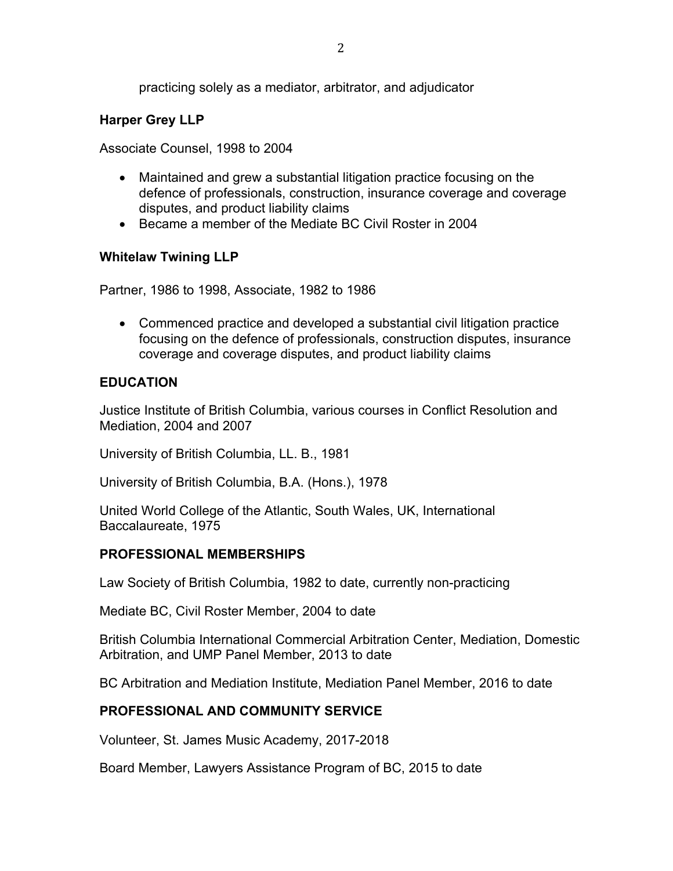practicing solely as a mediator, arbitrator, and adjudicator

## **Harper Grey LLP**

Associate Counsel, 1998 to 2004

- Maintained and grew a substantial litigation practice focusing on the defence of professionals, construction, insurance coverage and coverage disputes, and product liability claims
- Became a member of the Mediate BC Civil Roster in 2004

## **Whitelaw Twining LLP**

Partner, 1986 to 1998, Associate, 1982 to 1986

• Commenced practice and developed a substantial civil litigation practice focusing on the defence of professionals, construction disputes, insurance coverage and coverage disputes, and product liability claims

## **EDUCATION**

Justice Institute of British Columbia, various courses in Conflict Resolution and Mediation, 2004 and 2007

University of British Columbia, LL. B., 1981

University of British Columbia, B.A. (Hons.), 1978

United World College of the Atlantic, South Wales, UK, International Baccalaureate, 1975

## **PROFESSIONAL MEMBERSHIPS**

Law Society of British Columbia, 1982 to date, currently non-practicing

Mediate BC, Civil Roster Member, 2004 to date

British Columbia International Commercial Arbitration Center, Mediation, Domestic Arbitration, and UMP Panel Member, 2013 to date

BC Arbitration and Mediation Institute, Mediation Panel Member, 2016 to date

## **PROFESSIONAL AND COMMUNITY SERVICE**

Volunteer, St. James Music Academy, 2017-2018

Board Member, Lawyers Assistance Program of BC, 2015 to date